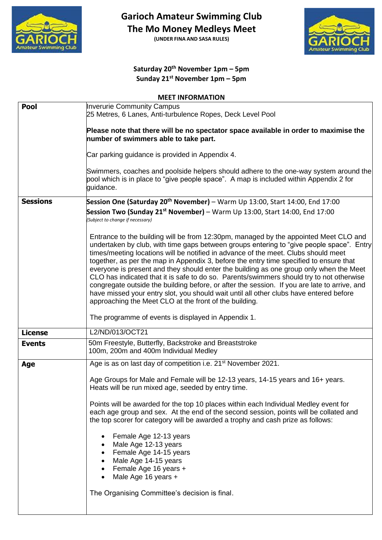

**Garioch Amateur Swimming Club** 

**The Mo Money Medleys Meet**

**(UNDER FINA AND SASA RULES)**



## **Saturday 20th November 1pm – 5pm Sunday 21st November 1pm – 5pm**

#### **MEET INFORMATION**

| Pool            | <b>Inverurie Community Campus</b><br>25 Metres, 6 Lanes, Anti-turbulence Ropes, Deck Level Pool                                                                                                                                                                                                                                                                                                                                                                                                                                                                                                                                                                                                                                                                                                            |
|-----------------|------------------------------------------------------------------------------------------------------------------------------------------------------------------------------------------------------------------------------------------------------------------------------------------------------------------------------------------------------------------------------------------------------------------------------------------------------------------------------------------------------------------------------------------------------------------------------------------------------------------------------------------------------------------------------------------------------------------------------------------------------------------------------------------------------------|
|                 | Please note that there will be no spectator space available in order to maximise the<br>number of swimmers able to take part.                                                                                                                                                                                                                                                                                                                                                                                                                                                                                                                                                                                                                                                                              |
|                 | Car parking guidance is provided in Appendix 4.                                                                                                                                                                                                                                                                                                                                                                                                                                                                                                                                                                                                                                                                                                                                                            |
|                 | Swimmers, coaches and poolside helpers should adhere to the one-way system around the<br>pool which is in place to "give people space". A map is included within Appendix 2 for<br>guidance.                                                                                                                                                                                                                                                                                                                                                                                                                                                                                                                                                                                                               |
| <b>Sessions</b> | Session One (Saturday 20 <sup>th</sup> November) – Warm Up 13:00, Start 14:00, End 17:00                                                                                                                                                                                                                                                                                                                                                                                                                                                                                                                                                                                                                                                                                                                   |
|                 | Session Two (Sunday 21 <sup>st</sup> November) – Warm Up 13:00, Start 14:00, End 17:00<br>(Subject to change if necessary)                                                                                                                                                                                                                                                                                                                                                                                                                                                                                                                                                                                                                                                                                 |
|                 | Entrance to the building will be from 12:30pm, managed by the appointed Meet CLO and<br>undertaken by club, with time gaps between groups entering to "give people space". Entry<br>times/meeting locations will be notified in advance of the meet. Clubs should meet<br>together, as per the map in Appendix 3, before the entry time specified to ensure that<br>everyone is present and they should enter the building as one group only when the Meet<br>CLO has indicated that it is safe to do so. Parents/swimmers should try to not otherwise<br>congregate outside the building before, or after the session. If you are late to arrive, and<br>have missed your entry slot, you should wait until all other clubs have entered before<br>approaching the Meet CLO at the front of the building. |
|                 | The programme of events is displayed in Appendix 1.                                                                                                                                                                                                                                                                                                                                                                                                                                                                                                                                                                                                                                                                                                                                                        |
| <b>License</b>  | L2/ND/013/OCT21                                                                                                                                                                                                                                                                                                                                                                                                                                                                                                                                                                                                                                                                                                                                                                                            |
| <b>Events</b>   | 50m Freestyle, Butterfly, Backstroke and Breaststroke<br>100m, 200m and 400m Individual Medley                                                                                                                                                                                                                                                                                                                                                                                                                                                                                                                                                                                                                                                                                                             |
| Age             | Age is as on last day of competition i.e. 21 <sup>st</sup> November 2021.                                                                                                                                                                                                                                                                                                                                                                                                                                                                                                                                                                                                                                                                                                                                  |
|                 | Age Groups for Male and Female will be 12-13 years, 14-15 years and 16+ years.<br>Heats will be run mixed age, seeded by entry time.                                                                                                                                                                                                                                                                                                                                                                                                                                                                                                                                                                                                                                                                       |
|                 | Points will be awarded for the top 10 places within each Individual Medley event for<br>each age group and sex. At the end of the second session, points will be collated and<br>the top scorer for category will be awarded a trophy and cash prize as follows:                                                                                                                                                                                                                                                                                                                                                                                                                                                                                                                                           |
|                 | Female Age 12-13 years<br>Male Age 12-13 years<br>Female Age 14-15 years<br>Male Age 14-15 years<br>Female Age 16 years +<br>Male Age 16 years +                                                                                                                                                                                                                                                                                                                                                                                                                                                                                                                                                                                                                                                           |
|                 | The Organising Committee's decision is final.                                                                                                                                                                                                                                                                                                                                                                                                                                                                                                                                                                                                                                                                                                                                                              |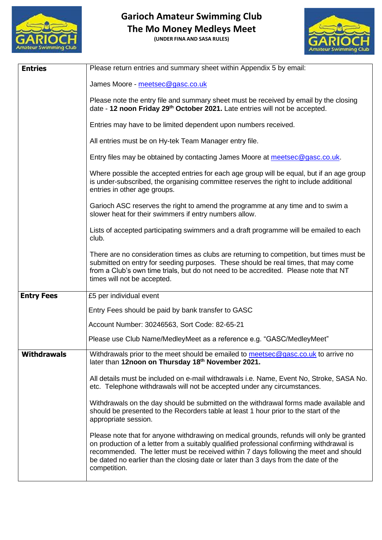

**(UNDER FINA AND SASA RULES)**



| <b>Entries</b>     | Please return entries and summary sheet within Appendix 5 by email:                                                                                                                                                                                                                                                                                                                  |  |  |
|--------------------|--------------------------------------------------------------------------------------------------------------------------------------------------------------------------------------------------------------------------------------------------------------------------------------------------------------------------------------------------------------------------------------|--|--|
|                    | James Moore - meetsec@gasc.co.uk                                                                                                                                                                                                                                                                                                                                                     |  |  |
|                    | Please note the entry file and summary sheet must be received by email by the closing<br>date - 12 noon Friday 29 <sup>th</sup> October 2021. Late entries will not be accepted.                                                                                                                                                                                                     |  |  |
|                    | Entries may have to be limited dependent upon numbers received.                                                                                                                                                                                                                                                                                                                      |  |  |
|                    | All entries must be on Hy-tek Team Manager entry file.                                                                                                                                                                                                                                                                                                                               |  |  |
|                    | Entry files may be obtained by contacting James Moore at meetsec@gasc.co.uk.                                                                                                                                                                                                                                                                                                         |  |  |
|                    | Where possible the accepted entries for each age group will be equal, but if an age group<br>is under-subscribed, the organising committee reserves the right to include additional<br>entries in other age groups.                                                                                                                                                                  |  |  |
|                    | Garioch ASC reserves the right to amend the programme at any time and to swim a<br>slower heat for their swimmers if entry numbers allow.                                                                                                                                                                                                                                            |  |  |
|                    | Lists of accepted participating swimmers and a draft programme will be emailed to each<br>club.                                                                                                                                                                                                                                                                                      |  |  |
|                    | There are no consideration times as clubs are returning to competition, but times must be<br>submitted on entry for seeding purposes. These should be real times, that may come<br>from a Club's own time trials, but do not need to be accredited. Please note that NT<br>times will not be accepted.                                                                               |  |  |
| <b>Entry Fees</b>  | £5 per individual event                                                                                                                                                                                                                                                                                                                                                              |  |  |
|                    | Entry Fees should be paid by bank transfer to GASC                                                                                                                                                                                                                                                                                                                                   |  |  |
|                    | Account Number: 30246563, Sort Code: 82-65-21                                                                                                                                                                                                                                                                                                                                        |  |  |
|                    | Please use Club Name/MedleyMeet as a reference e.g. "GASC/MedleyMeet"                                                                                                                                                                                                                                                                                                                |  |  |
| <b>Withdrawals</b> | Withdrawals prior to the meet should be emailed to meetsec@gasc.co.uk to arrive no<br>later than 12noon on Thursday 18th November 2021.                                                                                                                                                                                                                                              |  |  |
|                    | All details must be included on e-mail withdrawals i.e. Name, Event No, Stroke, SASA No.<br>etc. Telephone withdrawals will not be accepted under any circumstances.                                                                                                                                                                                                                 |  |  |
|                    | Withdrawals on the day should be submitted on the withdrawal forms made available and<br>should be presented to the Recorders table at least 1 hour prior to the start of the<br>appropriate session.                                                                                                                                                                                |  |  |
|                    | Please note that for anyone withdrawing on medical grounds, refunds will only be granted<br>on production of a letter from a suitably qualified professional confirming withdrawal is<br>recommended. The letter must be received within 7 days following the meet and should<br>be dated no earlier than the closing date or later than 3 days from the date of the<br>competition. |  |  |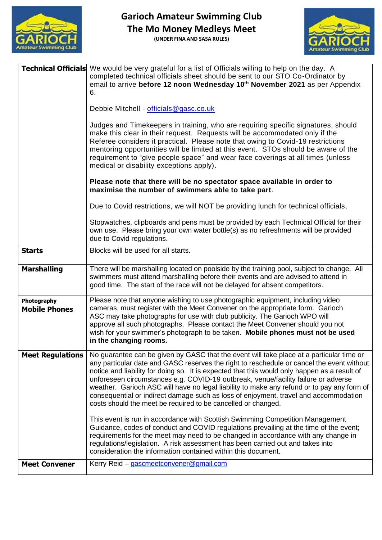

**(UNDER FINA AND SASA RULES)**



|                                     | <b>Technical Officials</b> We would be very grateful for a list of Officials willing to help on the day. A<br>completed technical officials sheet should be sent to our STO Co-Ordinator by<br>email to arrive before 12 noon Wednesday 10th November 2021 as per Appendix<br>6.                                                                                                                                                                                                                                                                                                                                                   |
|-------------------------------------|------------------------------------------------------------------------------------------------------------------------------------------------------------------------------------------------------------------------------------------------------------------------------------------------------------------------------------------------------------------------------------------------------------------------------------------------------------------------------------------------------------------------------------------------------------------------------------------------------------------------------------|
|                                     | Debbie Mitchell - officials@gasc.co.uk                                                                                                                                                                                                                                                                                                                                                                                                                                                                                                                                                                                             |
|                                     | Judges and Timekeepers in training, who are requiring specific signatures, should<br>make this clear in their request. Requests will be accommodated only if the<br>Referee considers it practical. Please note that owing to Covid-19 restrictions<br>mentoring opportunities will be limited at this event. STOs should be aware of the<br>requirement to "give people space" and wear face coverings at all times (unless<br>medical or disability exceptions apply).                                                                                                                                                           |
|                                     | Please note that there will be no spectator space available in order to<br>maximise the number of swimmers able to take part.                                                                                                                                                                                                                                                                                                                                                                                                                                                                                                      |
|                                     | Due to Covid restrictions, we will NOT be providing lunch for technical officials.                                                                                                                                                                                                                                                                                                                                                                                                                                                                                                                                                 |
|                                     | Stopwatches, clipboards and pens must be provided by each Technical Official for their<br>own use. Please bring your own water bottle(s) as no refreshments will be provided<br>due to Covid regulations.                                                                                                                                                                                                                                                                                                                                                                                                                          |
| <b>Starts</b>                       | Blocks will be used for all starts.                                                                                                                                                                                                                                                                                                                                                                                                                                                                                                                                                                                                |
| <b>Marshalling</b>                  | There will be marshalling located on poolside by the training pool, subject to change. All<br>swimmers must attend marshalling before their events and are advised to attend in<br>good time. The start of the race will not be delayed for absent competitors.                                                                                                                                                                                                                                                                                                                                                                    |
| Photography<br><b>Mobile Phones</b> | Please note that anyone wishing to use photographic equipment, including video<br>cameras, must register with the Meet Convener on the appropriate form. Garioch<br>ASC may take photographs for use with club publicity. The Garioch WPO will<br>approve all such photographs. Please contact the Meet Convener should you not<br>wish for your swimmer's photograph to be taken. Mobile phones must not be used<br>in the changing rooms.                                                                                                                                                                                        |
| <b>Meet Regulations</b>             | No guarantee can be given by GASC that the event will take place at a particular time or<br>any particular date and GASC reserves the right to reschedule or cancel the event without<br>notice and liability for doing so. It is expected that this would only happen as a result of<br>unforeseen circumstances e.g. COVID-19 outbreak, venue/facility failure or adverse<br>weather. Garioch ASC will have no legal liability to make any refund or to pay any form of<br>consequential or indirect damage such as loss of enjoyment, travel and accommodation<br>costs should the meet be required to be cancelled or changed. |
|                                     | This event is run in accordance with Scottish Swimming Competition Management<br>Guidance, codes of conduct and COVID regulations prevailing at the time of the event;<br>requirements for the meet may need to be changed in accordance with any change in<br>regulations/legislation. A risk assessment has been carried out and takes into<br>consideration the information contained within this document.                                                                                                                                                                                                                     |
| <b>Meet Convener</b>                | Kerry Reid - gascmeetconvener@gmail.com                                                                                                                                                                                                                                                                                                                                                                                                                                                                                                                                                                                            |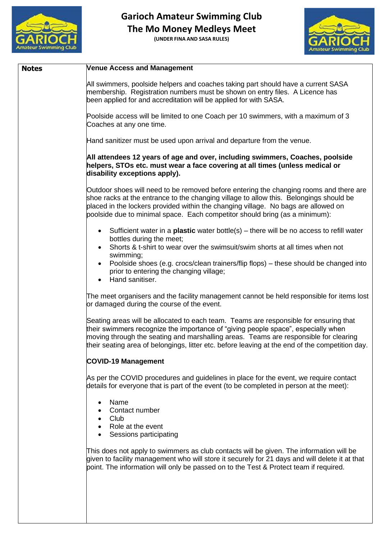

**(UNDER FINA AND SASA RULES)**



| <b>Notes</b> | <b>Venue Access and Management</b>                                                                                                                                                                                                                                                                                                                                    |
|--------------|-----------------------------------------------------------------------------------------------------------------------------------------------------------------------------------------------------------------------------------------------------------------------------------------------------------------------------------------------------------------------|
|              | All swimmers, poolside helpers and coaches taking part should have a current SASA<br>membership. Registration numbers must be shown on entry files. A Licence has<br>been applied for and accreditation will be applied for with SASA.                                                                                                                                |
|              | Poolside access will be limited to one Coach per 10 swimmers, with a maximum of 3<br>Coaches at any one time.                                                                                                                                                                                                                                                         |
|              | Hand sanitizer must be used upon arrival and departure from the venue.                                                                                                                                                                                                                                                                                                |
|              | All attendees 12 years of age and over, including swimmers, Coaches, poolside<br>helpers, STOs etc. must wear a face covering at all times (unless medical or<br>disability exceptions apply).                                                                                                                                                                        |
|              | Outdoor shoes will need to be removed before entering the changing rooms and there are<br>shoe racks at the entrance to the changing village to allow this. Belongings should be<br>placed in the lockers provided within the changing village. No bags are allowed on<br>poolside due to minimal space. Each competitor should bring (as a minimum):                 |
|              | • Sufficient water in a <b>plastic</b> water bottle(s) – there will be no access to refill water<br>bottles during the meet;<br>Shorts & t-shirt to wear over the swimsuit/swim shorts at all times when not<br>swimming;                                                                                                                                             |
|              | Poolside shoes (e.g. crocs/clean trainers/flip flops) - these should be changed into<br>$\bullet$<br>prior to entering the changing village;<br>Hand sanitiser.                                                                                                                                                                                                       |
|              | The meet organisers and the facility management cannot be held responsible for items lost<br>or damaged during the course of the event.                                                                                                                                                                                                                               |
|              | Seating areas will be allocated to each team. Teams are responsible for ensuring that<br>their swimmers recognize the importance of "giving people space", especially when<br>moving through the seating and marshalling areas. Teams are responsible for clearing<br>their seating area of belongings, litter etc. before leaving at the end of the competition day. |
|              | <b>COVID-19 Management</b>                                                                                                                                                                                                                                                                                                                                            |
|              | As per the COVID procedures and guidelines in place for the event, we require contact<br>details for everyone that is part of the event (to be completed in person at the meet):                                                                                                                                                                                      |
|              | Name<br>$\bullet$<br>Contact number<br>• Club<br>Role at the event<br>Sessions participating                                                                                                                                                                                                                                                                          |
|              | This does not apply to swimmers as club contacts will be given. The information will be<br>given to facility management who will store it securely for 21 days and will delete it at that<br>point. The information will only be passed on to the Test & Protect team if required.                                                                                    |
|              |                                                                                                                                                                                                                                                                                                                                                                       |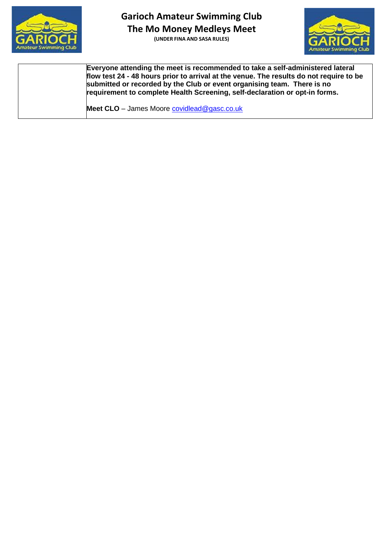

**(UNDER FINA AND SASA RULES)**



**Everyone attending the meet is recommended to take a self-administered lateral flow test 24 - 48 hours prior to arrival at the venue. The results do not require to be submitted or recorded by the Club or event organising team. There is no requirement to complete Health Screening, self-declaration or opt-in forms.**

Meet CLO - James Moore [covidlead@gasc.co.uk](mailto:covidlead@gasc.co.uk)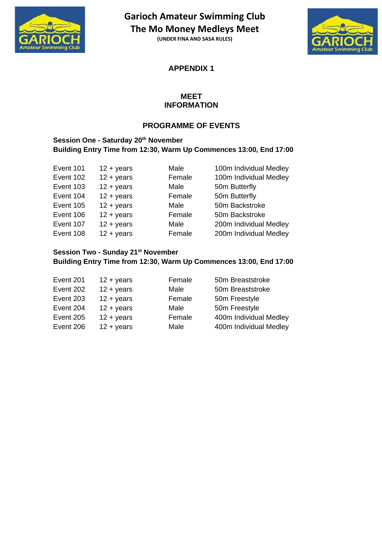

**(UNDER FINA AND SASA RULES)**



**APPENDIX 1**

#### **MEET INFORMATION**

### **PROGRAMME OF EVENTS**

#### **Session One - Saturday 20th November Building Entry Time from 12:30, Warm Up Commences 13:00, End 17:00**

| Event 101 | $12 + \text{years}$ | Male   | 100m Individual Medley |
|-----------|---------------------|--------|------------------------|
| Event 102 | $12 + \text{years}$ | Female | 100m Individual Medley |
| Event 103 | $12 + years$        | Male   | 50m Butterfly          |
| Event 104 | $12 + \text{years}$ | Female | 50m Butterfly          |
| Event 105 | $12 + \text{years}$ | Male   | 50m Backstroke         |
| Event 106 | $12 + \text{years}$ | Female | 50m Backstroke         |
| Event 107 | $12 + \text{years}$ | Male   | 200m Individual Medley |
| Event 108 | $12 + years$        | Female | 200m Individual Medley |

#### **Session Two - Sunday 21st November Building Entry Time from 12:30, Warm Up Commences 13:00, End 17:00**

| Event 201 | $12 + years$        | Female | 50m Breaststroke       |
|-----------|---------------------|--------|------------------------|
| Event 202 | $12 + years$        | Male   | 50m Breaststroke       |
| Event 203 | $12 + \text{years}$ | Female | 50m Freestyle          |
| Event 204 | $12 + \text{years}$ | Male   | 50m Freestyle          |
| Event 205 | $12 + years$        | Female | 400m Individual Medley |
| Event 206 | $12 + years$        | Male   | 400m Individual Medley |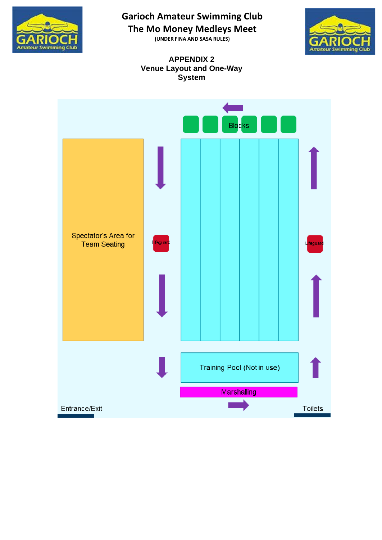

**(UNDER FINA AND SASA RULES)**



#### **APPENDIX 2 Venue Layout and One-Way System**

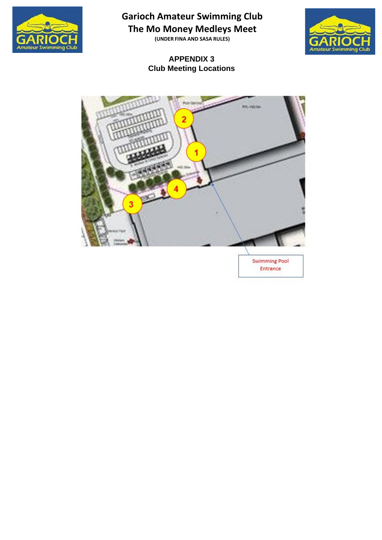

**(UNDER FINA AND SASA RULES)**

### **APPENDIX 3 Club Meeting Locations**





**Swimming Pool** Entrance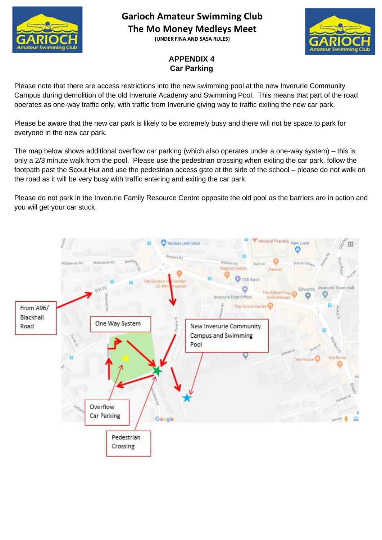

**(UNDER FINA AND SASA RULES)**



### **APPENDIX 4 Car Parking**

Please note that there are access restrictions into the new swimming pool at the new Inverurie Community Campus during demolition of the old Inverurie Academy and Swimming Pool. This means that part of the road operates as one-way traffic only, with traffic from Inverurie giving way to traffic exiting the new car park.

Please be aware that the new car park is likely to be extremely busy and there will not be space to park for everyone in the new car park.

The map below shows additional overflow car parking (which also operates under a one-way system) – this is only a 2/3 minute walk from the pool. Please use the pedestrian crossing when exiting the car park, follow the footpath past the Scout Hut and use the pedestrian access gate at the side of the school – please do not walk on the road as it will be very busy with traffic entering and exiting the car park.

Please do not park in the Inverurie Family Resource Centre opposite the old pool as the barriers are in action and you will get your car stuck.

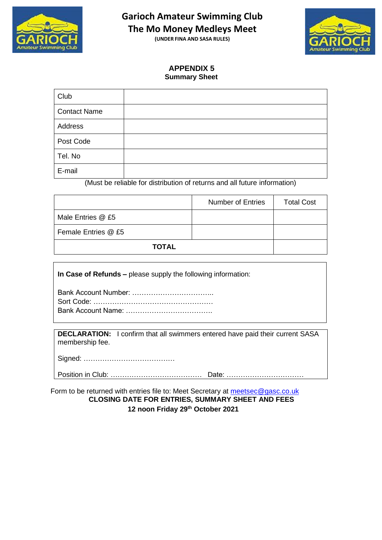

**(UNDER FINA AND SASA RULES)**



#### **APPENDIX 5 Summary Sheet**

| Club                |  |
|---------------------|--|
| <b>Contact Name</b> |  |
| Address             |  |
| Post Code           |  |
| Tel. No             |  |
| E-mail              |  |

(Must be reliable for distribution of returns and all future information)

|                     | <b>Number of Entries</b> | <b>Total Cost</b> |
|---------------------|--------------------------|-------------------|
| Male Entries @ £5   |                          |                   |
| Female Entries @ £5 |                          |                   |
| <b>TOTAL</b>        |                          |                   |

**In Case of Refunds –** please supply the following information:

**DECLARATION:** I confirm that all swimmers entered have paid their current SASA membership fee.

Signed: …………………………………

Position in Club: ………………………………… Date: ……………………………

Form to be returned with entries file to: Meet Secretary at [meetsec@gasc.co.uk](mailto:meetsec@gasc.co.uk) **CLOSING DATE FOR ENTRIES, SUMMARY SHEET AND FEES 12 noon Friday 29th October 2021**